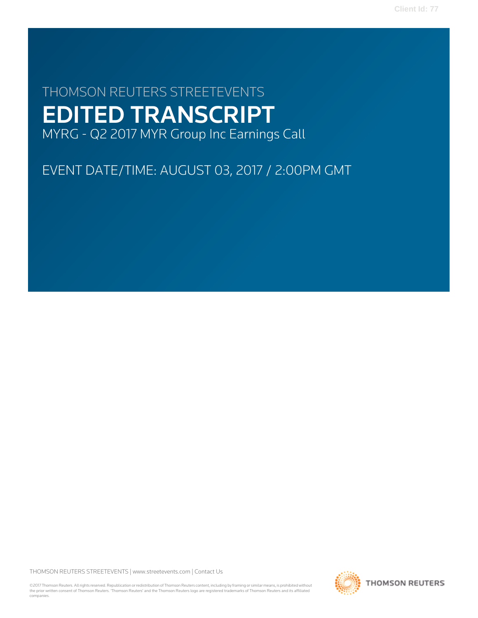# THOMSON REUTERS STREETEVENTS EDITED TRANSCRIPT MYRG - Q2 2017 MYR Group Inc Earnings Call

EVENT DATE/TIME: AUGUST 03, 2017 / 2:00PM GMT

THOMSON REUTERS STREETEVENTS | [www.streetevents.com](http://www.streetevents.com) | [Contact Us](http://www010.streetevents.com/contact.asp)

©2017 Thomson Reuters. All rights reserved. Republication or redistribution of Thomson Reuters content, including by framing or similar means, is prohibited without the prior written consent of Thomson Reuters. 'Thomson Reuters' and the Thomson Reuters logo are registered trademarks of Thomson Reuters and its affiliated companies.

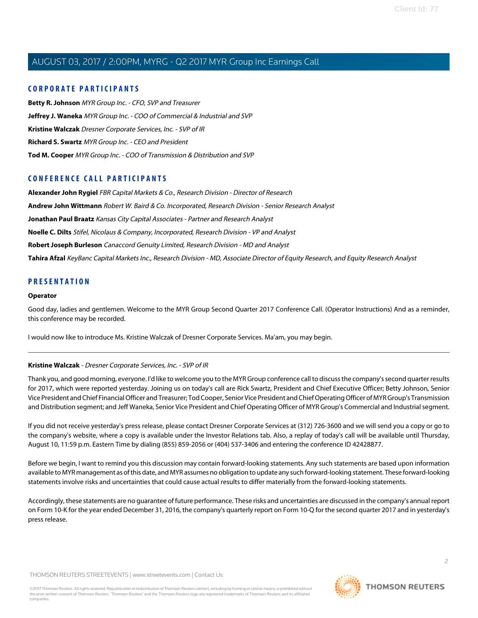# **CORPORATE PARTICIPANTS**

**[Betty R. Johnson](#page-2-0)** MYR Group Inc. - CFO, SVP and Treasurer **[Jeffrey J. Waneka](#page-5-0)** MYR Group Inc. - COO of Commercial & Industrial and SVP **[Kristine Walczak](#page-1-0)** Dresner Corporate Services, Inc. - SVP of IR **[Richard S. Swartz](#page-2-1)** MYR Group Inc. - CEO and President **[Tod M. Cooper](#page-3-0)** MYR Group Inc. - COO of Transmission & Distribution and SVP

# **CONFERENCE CALL PARTICIPANTS**

**[Alexander John Rygiel](#page-6-0)** FBR Capital Markets & Co., Research Division - Director of Research **[Andrew John Wittmann](#page-9-0)** Robert W. Baird & Co. Incorporated, Research Division - Senior Research Analyst **[Jonathan Paul Braatz](#page-13-0)** Kansas City Capital Associates - Partner and Research Analyst **[Noelle C. Dilts](#page-10-0)** Stifel, Nicolaus & Company, Incorporated, Research Division - VP and Analyst **[Robert Joseph Burleson](#page-12-0)** Canaccord Genuity Limited, Research Division - MD and Analyst **[Tahira Afzal](#page-7-0)** KeyBanc Capital Markets Inc., Research Division - MD, Associate Director of Equity Research, and Equity Research Analyst

# **PRESENTATION**

# **Operator**

Good day, ladies and gentlemen. Welcome to the MYR Group Second Quarter 2017 Conference Call. (Operator Instructions) And as a reminder, this conference may be recorded.

<span id="page-1-0"></span>I would now like to introduce Ms. Kristine Walczak of Dresner Corporate Services. Ma'am, you may begin.

# **Kristine Walczak** - Dresner Corporate Services, Inc. - SVP of IR

Thank you, and good morning, everyone. I'd like to welcome you to the MYR Group conference call to discuss the company's second quarter results for 2017, which were reported yesterday. Joining us on today's call are Rick Swartz, President and Chief Executive Officer; Betty Johnson, Senior Vice President and Chief Financial Officer and Treasurer; Tod Cooper, Senior Vice President and Chief Operating Officer of MYR Group's Transmission and Distribution segment; and Jeff Waneka, Senior Vice President and Chief Operating Officer of MYR Group's Commercial and Industrial segment.

If you did not receive yesterday's press release, please contact Dresner Corporate Services at (312) 726-3600 and we will send you a copy or go to the company's website, where a copy is available under the Investor Relations tab. Also, a replay of today's call will be available until Thursday, August 10, 11:59 p.m. Eastern Time by dialing (855) 859-2056 or (404) 537-3406 and entering the conference ID 42428877.

Before we begin, I want to remind you this discussion may contain forward-looking statements. Any such statements are based upon information available to MYR management as of this date, and MYR assumes no obligation to update any such forward-looking statement. These forward-looking statements involve risks and uncertainties that could cause actual results to differ materially from the forward-looking statements.

Accordingly, these statements are no guarantee of future performance. These risks and uncertainties are discussed in the company's annual report on Form 10-K for the year ended December 31, 2016, the company's quarterly report on Form 10-Q for the second quarter 2017 and in yesterday's press release.

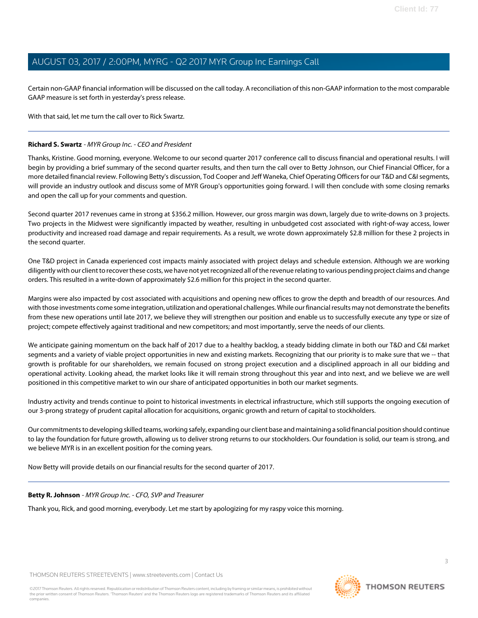Certain non-GAAP financial information will be discussed on the call today. A reconciliation of this non-GAAP information to the most comparable GAAP measure is set forth in yesterday's press release.

With that said, let me turn the call over to Rick Swartz.

# <span id="page-2-1"></span>**Richard S. Swartz** - MYR Group Inc. - CEO and President

Thanks, Kristine. Good morning, everyone. Welcome to our second quarter 2017 conference call to discuss financial and operational results. I will begin by providing a brief summary of the second quarter results, and then turn the call over to Betty Johnson, our Chief Financial Officer, for a more detailed financial review. Following Betty's discussion, Tod Cooper and Jeff Waneka, Chief Operating Officers for our T&D and C&I segments, will provide an industry outlook and discuss some of MYR Group's opportunities going forward. I will then conclude with some closing remarks and open the call up for your comments and question.

Second quarter 2017 revenues came in strong at \$356.2 million. However, our gross margin was down, largely due to write-downs on 3 projects. Two projects in the Midwest were significantly impacted by weather, resulting in unbudgeted cost associated with right-of-way access, lower productivity and increased road damage and repair requirements. As a result, we wrote down approximately \$2.8 million for these 2 projects in the second quarter.

One T&D project in Canada experienced cost impacts mainly associated with project delays and schedule extension. Although we are working diligently with our client to recover these costs, we have not yet recognized all of the revenue relating to various pending project claims and change orders. This resulted in a write-down of approximately \$2.6 million for this project in the second quarter.

Margins were also impacted by cost associated with acquisitions and opening new offices to grow the depth and breadth of our resources. And with those investments come some integration, utilization and operational challenges. While our financial results may not demonstrate the benefits from these new operations until late 2017, we believe they will strengthen our position and enable us to successfully execute any type or size of project; compete effectively against traditional and new competitors; and most importantly, serve the needs of our clients.

We anticipate gaining momentum on the back half of 2017 due to a healthy backlog, a steady bidding climate in both our T&D and C&I market segments and a variety of viable project opportunities in new and existing markets. Recognizing that our priority is to make sure that we -- that growth is profitable for our shareholders, we remain focused on strong project execution and a disciplined approach in all our bidding and operational activity. Looking ahead, the market looks like it will remain strong throughout this year and into next, and we believe we are well positioned in this competitive market to win our share of anticipated opportunities in both our market segments.

Industry activity and trends continue to point to historical investments in electrical infrastructure, which still supports the ongoing execution of our 3-prong strategy of prudent capital allocation for acquisitions, organic growth and return of capital to stockholders.

<span id="page-2-0"></span>Our commitments to developing skilled teams, working safely, expanding our client base and maintaining a solid financial position should continue to lay the foundation for future growth, allowing us to deliver strong returns to our stockholders. Our foundation is solid, our team is strong, and we believe MYR is in an excellent position for the coming years.

Now Betty will provide details on our financial results for the second quarter of 2017.

# **Betty R. Johnson** - MYR Group Inc. - CFO, SVP and Treasurer

Thank you, Rick, and good morning, everybody. Let me start by apologizing for my raspy voice this morning.

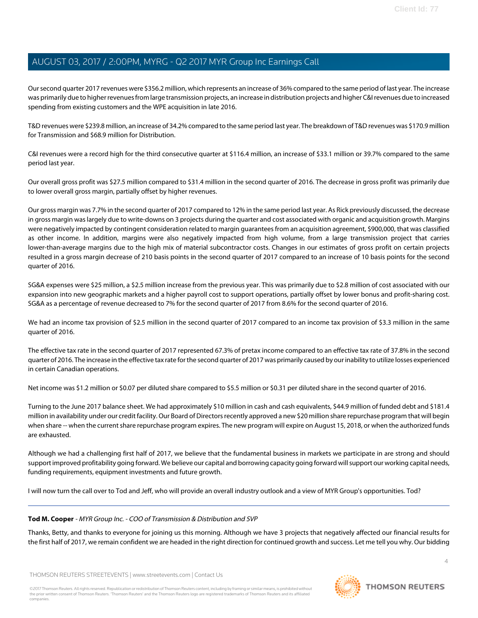Our second quarter 2017 revenues were \$356.2 million, which represents an increase of 36% compared to the same period of last year. The increase was primarily due to higher revenues from large transmission projects, an increase in distribution projects and higher C&I revenues due to increased spending from existing customers and the WPE acquisition in late 2016.

T&D revenues were \$239.8 million, an increase of 34.2% compared to the same period last year. The breakdown of T&D revenues was \$170.9 million for Transmission and \$68.9 million for Distribution.

C&I revenues were a record high for the third consecutive quarter at \$116.4 million, an increase of \$33.1 million or 39.7% compared to the same period last year.

Our overall gross profit was \$27.5 million compared to \$31.4 million in the second quarter of 2016. The decrease in gross profit was primarily due to lower overall gross margin, partially offset by higher revenues.

Our gross margin was 7.7% in the second quarter of 2017 compared to 12% in the same period last year. As Rick previously discussed, the decrease in gross margin was largely due to write-downs on 3 projects during the quarter and cost associated with organic and acquisition growth. Margins were negatively impacted by contingent consideration related to margin guarantees from an acquisition agreement, \$900,000, that was classified as other income. In addition, margins were also negatively impacted from high volume, from a large transmission project that carries lower-than-average margins due to the high mix of material subcontractor costs. Changes in our estimates of gross profit on certain projects resulted in a gross margin decrease of 210 basis points in the second quarter of 2017 compared to an increase of 10 basis points for the second quarter of 2016.

SG&A expenses were \$25 million, a \$2.5 million increase from the previous year. This was primarily due to \$2.8 million of cost associated with our expansion into new geographic markets and a higher payroll cost to support operations, partially offset by lower bonus and profit-sharing cost. SG&A as a percentage of revenue decreased to 7% for the second quarter of 2017 from 8.6% for the second quarter of 2016.

We had an income tax provision of \$2.5 million in the second quarter of 2017 compared to an income tax provision of \$3.3 million in the same quarter of 2016.

The effective tax rate in the second quarter of 2017 represented 67.3% of pretax income compared to an effective tax rate of 37.8% in the second quarter of 2016. The increase in the effective tax rate for the second quarter of 2017 was primarily caused by our inability to utilize losses experienced in certain Canadian operations.

Net income was \$1.2 million or \$0.07 per diluted share compared to \$5.5 million or \$0.31 per diluted share in the second quarter of 2016.

Turning to the June 2017 balance sheet. We had approximately \$10 million in cash and cash equivalents, \$44.9 million of funded debt and \$181.4 million in availability under our credit facility. Our Board of Directors recently approved a new \$20 million share repurchase program that will begin when share -- when the current share repurchase program expires. The new program will expire on August 15, 2018, or when the authorized funds are exhausted.

<span id="page-3-0"></span>Although we had a challenging first half of 2017, we believe that the fundamental business in markets we participate in are strong and should support improved profitability going forward. We believe our capital and borrowing capacity going forward will support our working capital needs, funding requirements, equipment investments and future growth.

I will now turn the call over to Tod and Jeff, who will provide an overall industry outlook and a view of MYR Group's opportunities. Tod?

# **Tod M. Cooper** - MYR Group Inc. - COO of Transmission & Distribution and SVP

Thanks, Betty, and thanks to everyone for joining us this morning. Although we have 3 projects that negatively affected our financial results for the first half of 2017, we remain confident we are headed in the right direction for continued growth and success. Let me tell you why. Our bidding

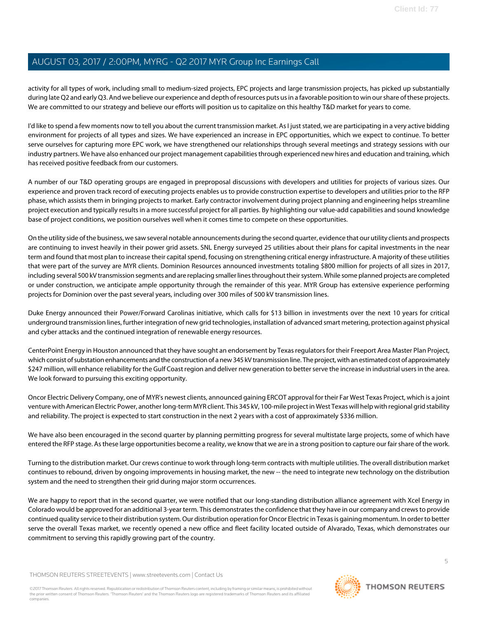activity for all types of work, including small to medium-sized projects, EPC projects and large transmission projects, has picked up substantially during late Q2 and early Q3. And we believe our experience and depth of resources puts us in a favorable position to win our share of these projects. We are committed to our strategy and believe our efforts will position us to capitalize on this healthy T&D market for years to come.

I'd like to spend a few moments now to tell you about the current transmission market. As I just stated, we are participating in a very active bidding environment for projects of all types and sizes. We have experienced an increase in EPC opportunities, which we expect to continue. To better serve ourselves for capturing more EPC work, we have strengthened our relationships through several meetings and strategy sessions with our industry partners. We have also enhanced our project management capabilities through experienced new hires and education and training, which has received positive feedback from our customers.

A number of our T&D operating groups are engaged in preproposal discussions with developers and utilities for projects of various sizes. Our experience and proven track record of executing projects enables us to provide construction expertise to developers and utilities prior to the RFP phase, which assists them in bringing projects to market. Early contractor involvement during project planning and engineering helps streamline project execution and typically results in a more successful project for all parties. By highlighting our value-add capabilities and sound knowledge base of project conditions, we position ourselves well when it comes time to compete on these opportunities.

On the utility side of the business, we saw several notable announcements during the second quarter, evidence that our utility clients and prospects are continuing to invest heavily in their power grid assets. SNL Energy surveyed 25 utilities about their plans for capital investments in the near term and found that most plan to increase their capital spend, focusing on strengthening critical energy infrastructure. A majority of these utilities that were part of the survey are MYR clients. Dominion Resources announced investments totaling \$800 million for projects of all sizes in 2017, including several 500 kV transmission segments and are replacing smaller lines throughout their system. While some planned projects are completed or under construction, we anticipate ample opportunity through the remainder of this year. MYR Group has extensive experience performing projects for Dominion over the past several years, including over 300 miles of 500 kV transmission lines.

Duke Energy announced their Power/Forward Carolinas initiative, which calls for \$13 billion in investments over the next 10 years for critical underground transmission lines, further integration of new grid technologies, installation of advanced smart metering, protection against physical and cyber attacks and the continued integration of renewable energy resources.

CenterPoint Energy in Houston announced that they have sought an endorsement by Texas regulators for their Freeport Area Master Plan Project, which consist of substation enhancements and the construction of a new 345 kV transmission line. The project, with an estimated cost of approximately \$247 million, will enhance reliability for the Gulf Coast region and deliver new generation to better serve the increase in industrial users in the area. We look forward to pursuing this exciting opportunity.

Oncor Electric Delivery Company, one of MYR's newest clients, announced gaining ERCOT approval for their Far West Texas Project, which is a joint venture with American Electric Power, another long-term MYR client. This 345 kV, 100-mile project in West Texas will help with regional grid stability and reliability. The project is expected to start construction in the next 2 years with a cost of approximately \$336 million.

We have also been encouraged in the second quarter by planning permitting progress for several multistate large projects, some of which have entered the RFP stage. As these large opportunities become a reality, we know that we are in a strong position to capture our fair share of the work.

Turning to the distribution market. Our crews continue to work through long-term contracts with multiple utilities. The overall distribution market continues to rebound, driven by ongoing improvements in housing market, the new -- the need to integrate new technology on the distribution system and the need to strengthen their grid during major storm occurrences.

We are happy to report that in the second quarter, we were notified that our long-standing distribution alliance agreement with Xcel Energy in Colorado would be approved for an additional 3-year term. This demonstrates the confidence that they have in our company and crews to provide continued quality service to their distribution system. Our distribution operation for Oncor Electric in Texas is gaining momentum. In order to better serve the overall Texas market, we recently opened a new office and fleet facility located outside of Alvarado, Texas, which demonstrates our commitment to serving this rapidly growing part of the country.

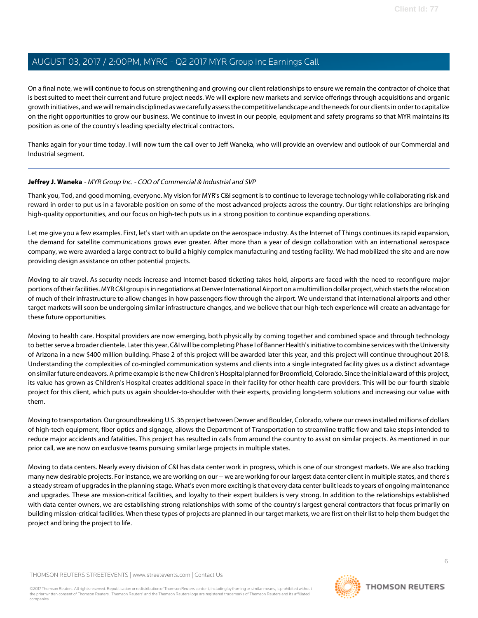On a final note, we will continue to focus on strengthening and growing our client relationships to ensure we remain the contractor of choice that is best suited to meet their current and future project needs. We will explore new markets and service offerings through acquisitions and organic growth initiatives, and we will remain disciplined as we carefully assess the competitive landscape and the needs for our clients in order to capitalize on the right opportunities to grow our business. We continue to invest in our people, equipment and safety programs so that MYR maintains its position as one of the country's leading specialty electrical contractors.

Thanks again for your time today. I will now turn the call over to Jeff Waneka, who will provide an overview and outlook of our Commercial and Industrial segment.

# <span id="page-5-0"></span>**Jeffrey J. Waneka** - MYR Group Inc. - COO of Commercial & Industrial and SVP

Thank you, Tod, and good morning, everyone. My vision for MYR's C&I segment is to continue to leverage technology while collaborating risk and reward in order to put us in a favorable position on some of the most advanced projects across the country. Our tight relationships are bringing high-quality opportunities, and our focus on high-tech puts us in a strong position to continue expanding operations.

Let me give you a few examples. First, let's start with an update on the aerospace industry. As the Internet of Things continues its rapid expansion, the demand for satellite communications grows ever greater. After more than a year of design collaboration with an international aerospace company, we were awarded a large contract to build a highly complex manufacturing and testing facility. We had mobilized the site and are now providing design assistance on other potential projects.

Moving to air travel. As security needs increase and Internet-based ticketing takes hold, airports are faced with the need to reconfigure major portions of their facilities. MYR C&I group is in negotiations at Denver International Airport on a multimillion dollar project, which starts the relocation of much of their infrastructure to allow changes in how passengers flow through the airport. We understand that international airports and other target markets will soon be undergoing similar infrastructure changes, and we believe that our high-tech experience will create an advantage for these future opportunities.

Moving to health care. Hospital providers are now emerging, both physically by coming together and combined space and through technology to better serve a broader clientele. Later this year, C&I will be completing Phase I of Banner Health's initiative to combine services with the University of Arizona in a new \$400 million building. Phase 2 of this project will be awarded later this year, and this project will continue throughout 2018. Understanding the complexities of co-mingled communication systems and clients into a single integrated facility gives us a distinct advantage on similar future endeavors. A prime example is the new Children's Hospital planned for Broomfield, Colorado. Since the initial award of this project, its value has grown as Children's Hospital creates additional space in their facility for other health care providers. This will be our fourth sizable project for this client, which puts us again shoulder-to-shoulder with their experts, providing long-term solutions and increasing our value with them.

Moving to transportation. Our groundbreaking U.S. 36 project between Denver and Boulder, Colorado, where our crews installed millions of dollars of high-tech equipment, fiber optics and signage, allows the Department of Transportation to streamline traffic flow and take steps intended to reduce major accidents and fatalities. This project has resulted in calls from around the country to assist on similar projects. As mentioned in our prior call, we are now on exclusive teams pursuing similar large projects in multiple states.

Moving to data centers. Nearly every division of C&I has data center work in progress, which is one of our strongest markets. We are also tracking many new desirable projects. For instance, we are working on our -- we are working for our largest data center client in multiple states, and there's a steady stream of upgrades in the planning stage. What's even more exciting is that every data center built leads to years of ongoing maintenance and upgrades. These are mission-critical facilities, and loyalty to their expert builders is very strong. In addition to the relationships established with data center owners, we are establishing strong relationships with some of the country's largest general contractors that focus primarily on building mission-critical facilities. When these types of projects are planned in our target markets, we are first on their list to help them budget the project and bring the project to life.

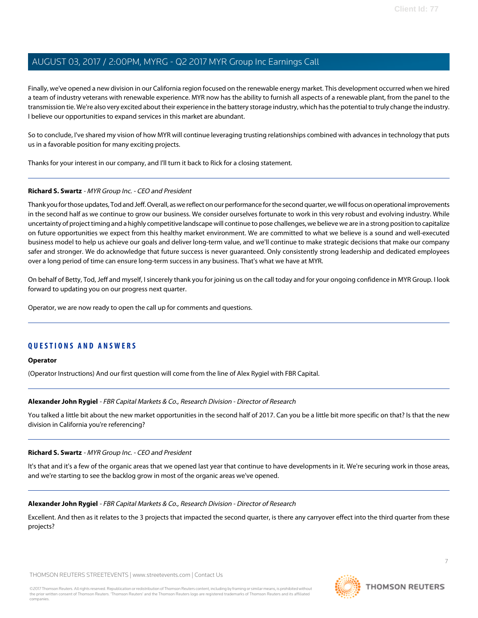Finally, we've opened a new division in our California region focused on the renewable energy market. This development occurred when we hired a team of industry veterans with renewable experience. MYR now has the ability to furnish all aspects of a renewable plant, from the panel to the transmission tie. We're also very excited about their experience in the battery storage industry, which has the potential to truly change the industry. I believe our opportunities to expand services in this market are abundant.

So to conclude, I've shared my vision of how MYR will continue leveraging trusting relationships combined with advances in technology that puts us in a favorable position for many exciting projects.

Thanks for your interest in our company, and I'll turn it back to Rick for a closing statement.

# **Richard S. Swartz** - MYR Group Inc. - CEO and President

Thank you for those updates, Tod and Jeff. Overall, as we reflect on our performance for the second quarter, we will focus on operational improvements in the second half as we continue to grow our business. We consider ourselves fortunate to work in this very robust and evolving industry. While uncertainty of project timing and a highly competitive landscape will continue to pose challenges, we believe we are in a strong position to capitalize on future opportunities we expect from this healthy market environment. We are committed to what we believe is a sound and well-executed business model to help us achieve our goals and deliver long-term value, and we'll continue to make strategic decisions that make our company safer and stronger. We do acknowledge that future success is never guaranteed. Only consistently strong leadership and dedicated employees over a long period of time can ensure long-term success in any business. That's what we have at MYR.

On behalf of Betty, Tod, Jeff and myself, I sincerely thank you for joining us on the call today and for your ongoing confidence in MYR Group. I look forward to updating you on our progress next quarter.

Operator, we are now ready to open the call up for comments and questions.

# **QUESTIONS AND ANSWERS**

# <span id="page-6-0"></span>**Operator**

(Operator Instructions) And our first question will come from the line of Alex Rygiel with FBR Capital.

# **Alexander John Rygiel** - FBR Capital Markets & Co., Research Division - Director of Research

You talked a little bit about the new market opportunities in the second half of 2017. Can you be a little bit more specific on that? Is that the new division in California you're referencing?

# **Richard S. Swartz** - MYR Group Inc. - CEO and President

It's that and it's a few of the organic areas that we opened last year that continue to have developments in it. We're securing work in those areas, and we're starting to see the backlog grow in most of the organic areas we've opened.

# **Alexander John Rygiel** - FBR Capital Markets & Co., Research Division - Director of Research

Excellent. And then as it relates to the 3 projects that impacted the second quarter, is there any carryover effect into the third quarter from these projects?

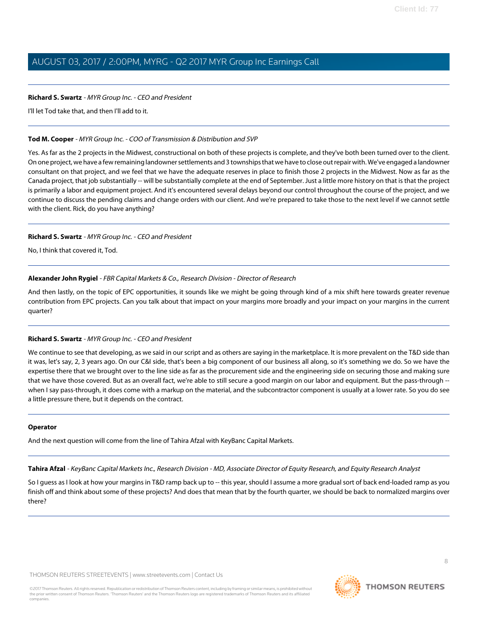# **Richard S. Swartz** - MYR Group Inc. - CEO and President

I'll let Tod take that, and then I'll add to it.

# **Tod M. Cooper** - MYR Group Inc. - COO of Transmission & Distribution and SVP

Yes. As far as the 2 projects in the Midwest, constructional on both of these projects is complete, and they've both been turned over to the client. On one project, we have a few remaining landowner settlements and 3 townships that we have to close out repair with. We've engaged a landowner consultant on that project, and we feel that we have the adequate reserves in place to finish those 2 projects in the Midwest. Now as far as the Canada project, that job substantially -- will be substantially complete at the end of September. Just a little more history on that is that the project is primarily a labor and equipment project. And it's encountered several delays beyond our control throughout the course of the project, and we continue to discuss the pending claims and change orders with our client. And we're prepared to take those to the next level if we cannot settle with the client. Rick, do you have anything?

# **Richard S. Swartz** - MYR Group Inc. - CEO and President

No, I think that covered it, Tod.

# **Alexander John Rygiel** - FBR Capital Markets & Co., Research Division - Director of Research

And then lastly, on the topic of EPC opportunities, it sounds like we might be going through kind of a mix shift here towards greater revenue contribution from EPC projects. Can you talk about that impact on your margins more broadly and your impact on your margins in the current quarter?

# **Richard S. Swartz** - MYR Group Inc. - CEO and President

We continue to see that developing, as we said in our script and as others are saying in the marketplace. It is more prevalent on the T&D side than it was, let's say, 2, 3 years ago. On our C&I side, that's been a big component of our business all along, so it's something we do. So we have the expertise there that we brought over to the line side as far as the procurement side and the engineering side on securing those and making sure that we have those covered. But as an overall fact, we're able to still secure a good margin on our labor and equipment. But the pass-through - when I say pass-through, it does come with a markup on the material, and the subcontractor component is usually at a lower rate. So you do see a little pressure there, but it depends on the contract.

# <span id="page-7-0"></span>**Operator**

And the next question will come from the line of Tahira Afzal with KeyBanc Capital Markets.

**Tahira Afzal** - KeyBanc Capital Markets Inc., Research Division - MD, Associate Director of Equity Research, and Equity Research Analyst

So I guess as I look at how your margins in T&D ramp back up to -- this year, should I assume a more gradual sort of back end-loaded ramp as you finish off and think about some of these projects? And does that mean that by the fourth quarter, we should be back to normalized margins over there?

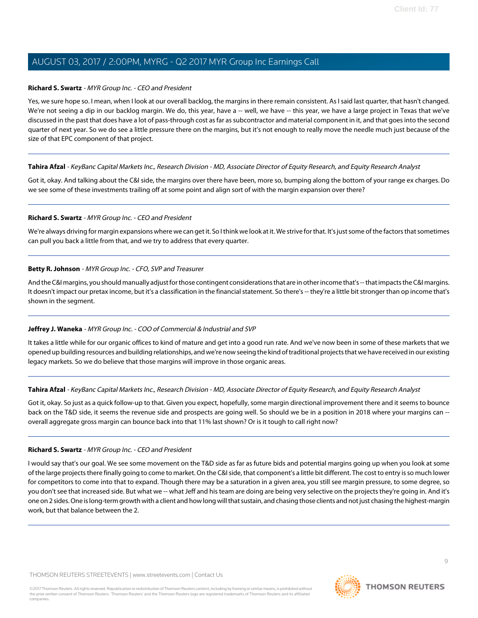# **Richard S. Swartz** - MYR Group Inc. - CEO and President

Yes, we sure hope so. I mean, when I look at our overall backlog, the margins in there remain consistent. As I said last quarter, that hasn't changed. We're not seeing a dip in our backlog margin. We do, this year, have a -- well, we have -- this year, we have a large project in Texas that we've discussed in the past that does have a lot of pass-through cost as far as subcontractor and material component in it, and that goes into the second quarter of next year. So we do see a little pressure there on the margins, but it's not enough to really move the needle much just because of the size of that EPC component of that project.

# **Tahira Afzal** - KeyBanc Capital Markets Inc., Research Division - MD, Associate Director of Equity Research, and Equity Research Analyst

Got it, okay. And talking about the C&I side, the margins over there have been, more so, bumping along the bottom of your range ex charges. Do we see some of these investments trailing off at some point and align sort of with the margin expansion over there?

# **Richard S. Swartz** - MYR Group Inc. - CEO and President

We're always driving for margin expansions where we can get it. So I think we look at it. We strive for that. It's just some of the factors that sometimes can pull you back a little from that, and we try to address that every quarter.

# **Betty R. Johnson** - MYR Group Inc. - CFO, SVP and Treasurer

And the C&I margins, you should manually adjust for those contingent considerations that are in other income that's -- that impacts the C&I margins. It doesn't impact our pretax income, but it's a classification in the financial statement. So there's -- they're a little bit stronger than op income that's shown in the segment.

# **Jeffrey J. Waneka** - MYR Group Inc. - COO of Commercial & Industrial and SVP

It takes a little while for our organic offices to kind of mature and get into a good run rate. And we've now been in some of these markets that we opened up building resources and building relationships, and we're now seeing the kind of traditional projects that we have received in our existing legacy markets. So we do believe that those margins will improve in those organic areas.

# **Tahira Afzal** - KeyBanc Capital Markets Inc., Research Division - MD, Associate Director of Equity Research, and Equity Research Analyst

Got it, okay. So just as a quick follow-up to that. Given you expect, hopefully, some margin directional improvement there and it seems to bounce back on the T&D side, it seems the revenue side and prospects are going well. So should we be in a position in 2018 where your margins can - overall aggregate gross margin can bounce back into that 11% last shown? Or is it tough to call right now?

# **Richard S. Swartz** - MYR Group Inc. - CEO and President

I would say that's our goal. We see some movement on the T&D side as far as future bids and potential margins going up when you look at some of the large projects there finally going to come to market. On the C&I side, that component's a little bit different. The cost to entry is so much lower for competitors to come into that to expand. Though there may be a saturation in a given area, you still see margin pressure, to some degree, so you don't see that increased side. But what we -- what Jeff and his team are doing are being very selective on the projects they're going in. And it's one on 2 sides. One is long-term growth with a client and how long will that sustain, and chasing those clients and not just chasing the highest-margin work, but that balance between the 2.

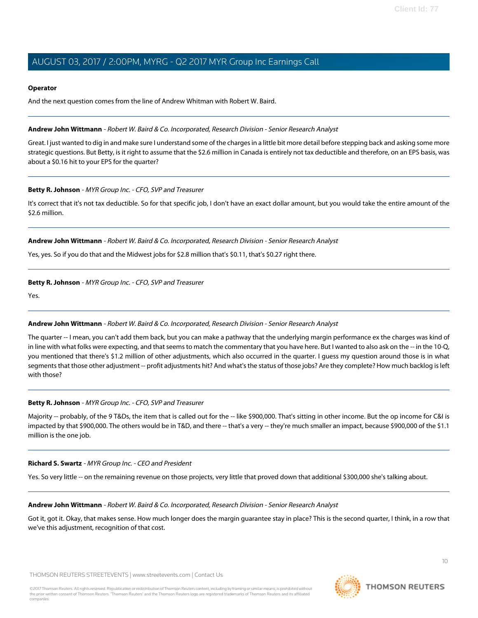### **Operator**

And the next question comes from the line of Andrew Whitman with Robert W. Baird.

### <span id="page-9-0"></span>**Andrew John Wittmann** - Robert W. Baird & Co. Incorporated, Research Division - Senior Research Analyst

Great. I just wanted to dig in and make sure I understand some of the charges in a little bit more detail before stepping back and asking some more strategic questions. But Betty, is it right to assume that the \$2.6 million in Canada is entirely not tax deductible and therefore, on an EPS basis, was about a \$0.16 hit to your EPS for the quarter?

# **Betty R. Johnson** - MYR Group Inc. - CFO, SVP and Treasurer

It's correct that it's not tax deductible. So for that specific job, I don't have an exact dollar amount, but you would take the entire amount of the \$2.6 million.

#### **Andrew John Wittmann** - Robert W. Baird & Co. Incorporated, Research Division - Senior Research Analyst

Yes, yes. So if you do that and the Midwest jobs for \$2.8 million that's \$0.11, that's \$0.27 right there.

# **Betty R. Johnson** - MYR Group Inc. - CFO, SVP and Treasurer

Yes.

# **Andrew John Wittmann** - Robert W. Baird & Co. Incorporated, Research Division - Senior Research Analyst

The quarter -- I mean, you can't add them back, but you can make a pathway that the underlying margin performance ex the charges was kind of in line with what folks were expecting, and that seems to match the commentary that you have here. But I wanted to also ask on the -- in the 10-Q, you mentioned that there's \$1.2 million of other adjustments, which also occurred in the quarter. I guess my question around those is in what segments that those other adjustment -- profit adjustments hit? And what's the status of those jobs? Are they complete? How much backlog is left with those?

# **Betty R. Johnson** - MYR Group Inc. - CFO, SVP and Treasurer

Majority -- probably, of the 9 T&Ds, the item that is called out for the -- like \$900,000. That's sitting in other income. But the op income for C&I is impacted by that \$900,000. The others would be in T&D, and there -- that's a very -- they're much smaller an impact, because \$900,000 of the \$1.1 million is the one job.

#### **Richard S. Swartz** - MYR Group Inc. - CEO and President

Yes. So very little -- on the remaining revenue on those projects, very little that proved down that additional \$300,000 she's talking about.

#### **Andrew John Wittmann** - Robert W. Baird & Co. Incorporated, Research Division - Senior Research Analyst

Got it, got it. Okay, that makes sense. How much longer does the margin guarantee stay in place? This is the second quarter, I think, in a row that we've this adjustment, recognition of that cost.

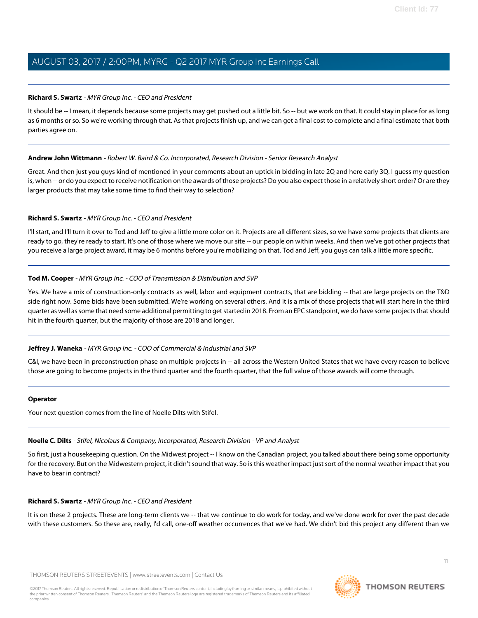# **Richard S. Swartz** - MYR Group Inc. - CEO and President

It should be -- I mean, it depends because some projects may get pushed out a little bit. So -- but we work on that. It could stay in place for as long as 6 months or so. So we're working through that. As that projects finish up, and we can get a final cost to complete and a final estimate that both parties agree on.

# **Andrew John Wittmann** - Robert W. Baird & Co. Incorporated, Research Division - Senior Research Analyst

Great. And then just you guys kind of mentioned in your comments about an uptick in bidding in late 2Q and here early 3Q. I guess my question is, when -- or do you expect to receive notification on the awards of those projects? Do you also expect those in a relatively short order? Or are they larger products that may take some time to find their way to selection?

# **Richard S. Swartz** - MYR Group Inc. - CEO and President

I'll start, and I'll turn it over to Tod and Jeff to give a little more color on it. Projects are all different sizes, so we have some projects that clients are ready to go, they're ready to start. It's one of those where we move our site -- our people on within weeks. And then we've got other projects that you receive a large project award, it may be 6 months before you're mobilizing on that. Tod and Jeff, you guys can talk a little more specific.

# **Tod M. Cooper** - MYR Group Inc. - COO of Transmission & Distribution and SVP

Yes. We have a mix of construction-only contracts as well, labor and equipment contracts, that are bidding -- that are large projects on the T&D side right now. Some bids have been submitted. We're working on several others. And it is a mix of those projects that will start here in the third quarter as well as some that need some additional permitting to get started in 2018. From an EPC standpoint, we do have some projects that should hit in the fourth quarter, but the majority of those are 2018 and longer.

# **Jeffrey J. Waneka** - MYR Group Inc. - COO of Commercial & Industrial and SVP

C&I, we have been in preconstruction phase on multiple projects in -- all across the Western United States that we have every reason to believe those are going to become projects in the third quarter and the fourth quarter, that the full value of those awards will come through.

# <span id="page-10-0"></span>**Operator**

Your next question comes from the line of Noelle Dilts with Stifel.

# **Noelle C. Dilts** - Stifel, Nicolaus & Company, Incorporated, Research Division - VP and Analyst

So first, just a housekeeping question. On the Midwest project -- I know on the Canadian project, you talked about there being some opportunity for the recovery. But on the Midwestern project, it didn't sound that way. So is this weather impact just sort of the normal weather impact that you have to bear in contract?

# **Richard S. Swartz** - MYR Group Inc. - CEO and President

It is on these 2 projects. These are long-term clients we -- that we continue to do work for today, and we've done work for over the past decade with these customers. So these are, really, I'd call, one-off weather occurrences that we've had. We didn't bid this project any different than we

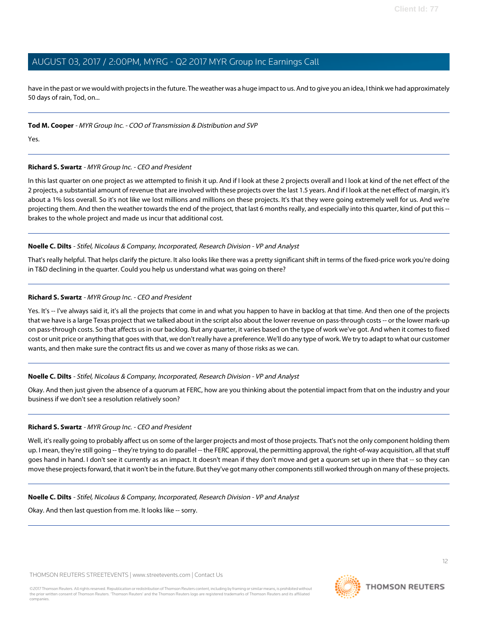have in the past or we would with projects in the future. The weather was a huge impact to us. And to give you an idea, I think we had approximately 50 days of rain, Tod, on...

# **Tod M. Cooper** - MYR Group Inc. - COO of Transmission & Distribution and SVP

Yes.

# **Richard S. Swartz** - MYR Group Inc. - CEO and President

In this last quarter on one project as we attempted to finish it up. And if I look at these 2 projects overall and I look at kind of the net effect of the 2 projects, a substantial amount of revenue that are involved with these projects over the last 1.5 years. And if I look at the net effect of margin, it's about a 1% loss overall. So it's not like we lost millions and millions on these projects. It's that they were going extremely well for us. And we're projecting them. And then the weather towards the end of the project, that last 6 months really, and especially into this quarter, kind of put this -brakes to the whole project and made us incur that additional cost.

# **Noelle C. Dilts** - Stifel, Nicolaus & Company, Incorporated, Research Division - VP and Analyst

That's really helpful. That helps clarify the picture. It also looks like there was a pretty significant shift in terms of the fixed-price work you're doing in T&D declining in the quarter. Could you help us understand what was going on there?

# **Richard S. Swartz** - MYR Group Inc. - CEO and President

Yes. It's -- I've always said it, it's all the projects that come in and what you happen to have in backlog at that time. And then one of the projects that we have is a large Texas project that we talked about in the script also about the lower revenue on pass-through costs -- or the lower mark-up on pass-through costs. So that affects us in our backlog. But any quarter, it varies based on the type of work we've got. And when it comes to fixed cost or unit price or anything that goes with that, we don't really have a preference. We'll do any type of work. We try to adapt to what our customer wants, and then make sure the contract fits us and we cover as many of those risks as we can.

# **Noelle C. Dilts** - Stifel, Nicolaus & Company, Incorporated, Research Division - VP and Analyst

Okay. And then just given the absence of a quorum at FERC, how are you thinking about the potential impact from that on the industry and your business if we don't see a resolution relatively soon?

# **Richard S. Swartz** - MYR Group Inc. - CEO and President

Well, it's really going to probably affect us on some of the larger projects and most of those projects. That's not the only component holding them up. I mean, they're still going -- they're trying to do parallel -- the FERC approval, the permitting approval, the right-of-way acquisition, all that stuff goes hand in hand. I don't see it currently as an impact. It doesn't mean if they don't move and get a quorum set up in there that -- so they can move these projects forward, that it won't be in the future. But they've got many other components still worked through on many of these projects.

# **Noelle C. Dilts** - Stifel, Nicolaus & Company, Incorporated, Research Division - VP and Analyst

Okay. And then last question from me. It looks like -- sorry.

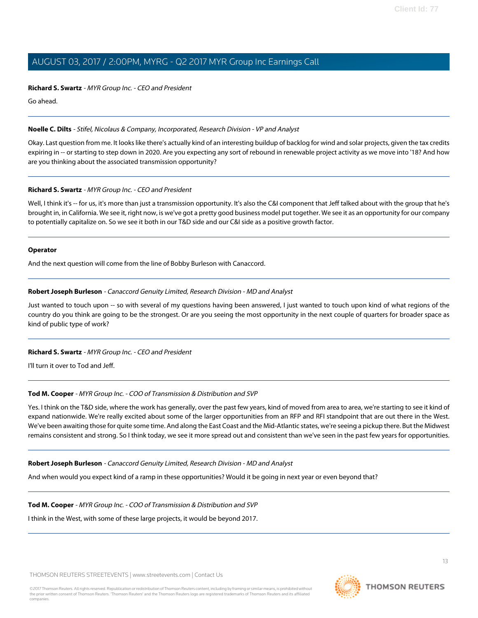### **Richard S. Swartz** - MYR Group Inc. - CEO and President

Go ahead.

# **Noelle C. Dilts** - Stifel, Nicolaus & Company, Incorporated, Research Division - VP and Analyst

Okay. Last question from me. It looks like there's actually kind of an interesting buildup of backlog for wind and solar projects, given the tax credits expiring in -- or starting to step down in 2020. Are you expecting any sort of rebound in renewable project activity as we move into '18? And how are you thinking about the associated transmission opportunity?

# **Richard S. Swartz** - MYR Group Inc. - CEO and President

Well, I think it's -- for us, it's more than just a transmission opportunity. It's also the C&I component that Jeff talked about with the group that he's brought in, in California. We see it, right now, is we've got a pretty good business model put together. We see it as an opportunity for our company to potentially capitalize on. So we see it both in our T&D side and our C&I side as a positive growth factor.

# **Operator**

<span id="page-12-0"></span>And the next question will come from the line of Bobby Burleson with Canaccord.

# **Robert Joseph Burleson** - Canaccord Genuity Limited, Research Division - MD and Analyst

Just wanted to touch upon -- so with several of my questions having been answered, I just wanted to touch upon kind of what regions of the country do you think are going to be the strongest. Or are you seeing the most opportunity in the next couple of quarters for broader space as kind of public type of work?

# **Richard S. Swartz** - MYR Group Inc. - CEO and President

I'll turn it over to Tod and Jeff.

# **Tod M. Cooper** - MYR Group Inc. - COO of Transmission & Distribution and SVP

Yes. I think on the T&D side, where the work has generally, over the past few years, kind of moved from area to area, we're starting to see it kind of expand nationwide. We're really excited about some of the larger opportunities from an RFP and RFI standpoint that are out there in the West. We've been awaiting those for quite some time. And along the East Coast and the Mid-Atlantic states, we're seeing a pickup there. But the Midwest remains consistent and strong. So I think today, we see it more spread out and consistent than we've seen in the past few years for opportunities.

# **Robert Joseph Burleson** - Canaccord Genuity Limited, Research Division - MD and Analyst

And when would you expect kind of a ramp in these opportunities? Would it be going in next year or even beyond that?

# **Tod M. Cooper** - MYR Group Inc. - COO of Transmission & Distribution and SVP

I think in the West, with some of these large projects, it would be beyond 2017.

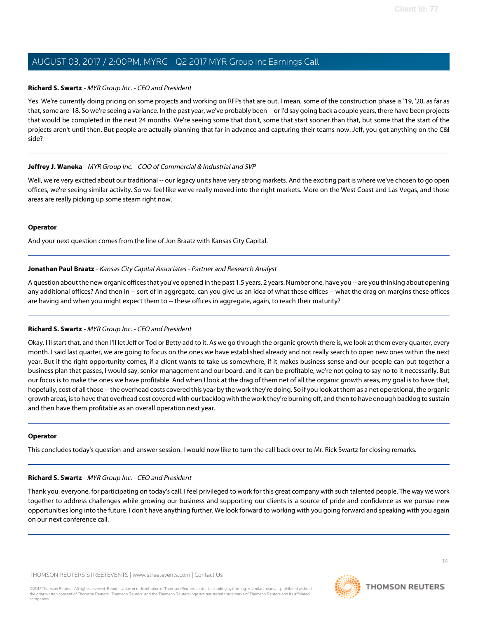# **Richard S. Swartz** - MYR Group Inc. - CEO and President

Yes. We're currently doing pricing on some projects and working on RFPs that are out. I mean, some of the construction phase is '19, '20, as far as that, some are '18. So we're seeing a variance. In the past year, we've probably been -- or I'd say going back a couple years, there have been projects that would be completed in the next 24 months. We're seeing some that don't, some that start sooner than that, but some that the start of the projects aren't until then. But people are actually planning that far in advance and capturing their teams now. Jeff, you got anything on the C&I side?

# **Jeffrey J. Waneka** - MYR Group Inc. - COO of Commercial & Industrial and SVP

Well, we're very excited about our traditional -- our legacy units have very strong markets. And the exciting part is where we've chosen to go open offices, we're seeing similar activity. So we feel like we've really moved into the right markets. More on the West Coast and Las Vegas, and those areas are really picking up some steam right now.

# **Operator**

<span id="page-13-0"></span>And your next question comes from the line of Jon Braatz with Kansas City Capital.

# **Jonathan Paul Braatz** - Kansas City Capital Associates - Partner and Research Analyst

A question about the new organic offices that you've opened in the past 1.5 years, 2 years. Number one, have you -- are you thinking about opening any additional offices? And then in -- sort of in aggregate, can you give us an idea of what these offices -- what the drag on margins these offices are having and when you might expect them to -- these offices in aggregate, again, to reach their maturity?

# **Richard S. Swartz** - MYR Group Inc. - CEO and President

Okay. I'll start that, and then I'll let Jeff or Tod or Betty add to it. As we go through the organic growth there is, we look at them every quarter, every month. I said last quarter, we are going to focus on the ones we have established already and not really search to open new ones within the next year. But if the right opportunity comes, if a client wants to take us somewhere, if it makes business sense and our people can put together a business plan that passes, I would say, senior management and our board, and it can be profitable, we're not going to say no to it necessarily. But our focus is to make the ones we have profitable. And when I look at the drag of them net of all the organic growth areas, my goal is to have that, hopefully, cost of all those -- the overhead costs covered this year by the work they're doing. So if you look at them as a net operational, the organic growth areas, is to have that overhead cost covered with our backlog with the work they're burning off, and then to have enough backlog to sustain and then have them profitable as an overall operation next year.

# **Operator**

This concludes today's question-and-answer session. I would now like to turn the call back over to Mr. Rick Swartz for closing remarks.

# **Richard S. Swartz** - MYR Group Inc. - CEO and President

Thank you, everyone, for participating on today's call. I feel privileged to work for this great company with such talented people. The way we work together to address challenges while growing our business and supporting our clients is a source of pride and confidence as we pursue new opportunities long into the future. I don't have anything further. We look forward to working with you going forward and speaking with you again on our next conference call.